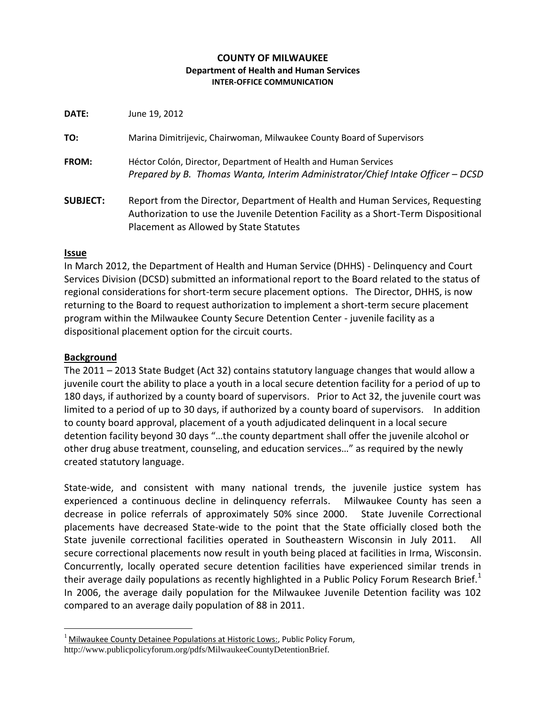### **COUNTY OF MILWAUKEE Department of Health and Human Services INTER-OFFICE COMMUNICATION**

**DATE:** June 19, 2012

**TO:** Marina Dimitrijevic, Chairwoman, Milwaukee County Board of Supervisors **FROM:** Héctor Colón, Director, Department of Health and Human Services *Prepared by B. Thomas Wanta, Interim Administrator/Chief Intake Officer – DCSD* **SUBJECT:** Report from the Director, Department of Health and Human Services, Requesting Authorization to use the Juvenile Detention Facility as a Short-Term Dispositional Placement as Allowed by State Statutes

# **Issue**

In March 2012, the Department of Health and Human Service (DHHS) - Delinquency and Court Services Division (DCSD) submitted an informational report to the Board related to the status of regional considerations for short-term secure placement options. The Director, DHHS, is now returning to the Board to request authorization to implement a short-term secure placement program within the Milwaukee County Secure Detention Center - juvenile facility as a dispositional placement option for the circuit courts.

# **Background**

 $\overline{a}$ 

The 2011 – 2013 State Budget (Act 32) contains statutory language changes that would allow a juvenile court the ability to place a youth in a local secure detention facility for a period of up to 180 days, if authorized by a county board of supervisors. Prior to Act 32, the juvenile court was limited to a period of up to 30 days, if authorized by a county board of supervisors. In addition to county board approval, placement of a youth adjudicated delinquent in a local secure detention facility beyond 30 days "…the county department shall offer the juvenile alcohol or other drug abuse treatment, counseling, and education services…" as required by the newly created statutory language.

State-wide, and consistent with many national trends, the juvenile justice system has experienced a continuous decline in delinquency referrals. Milwaukee County has seen a decrease in police referrals of approximately 50% since 2000. State Juvenile Correctional placements have decreased State-wide to the point that the State officially closed both the State juvenile correctional facilities operated in Southeastern Wisconsin in July 2011. All secure correctional placements now result in youth being placed at facilities in Irma, Wisconsin. Concurrently, locally operated secure detention facilities have experienced similar trends in their average daily populations as recently highlighted in a Public Policy Forum Research Brief.<sup>1</sup> In 2006, the average daily population for the Milwaukee Juvenile Detention facility was 102 compared to an average daily population of 88 in 2011.

 $1$  Milwaukee County Detainee Populations at Historic Lows:, Public Policy Forum, http://www.publicpolicyforum.org/pdfs/MilwaukeeCountyDetentionBrief.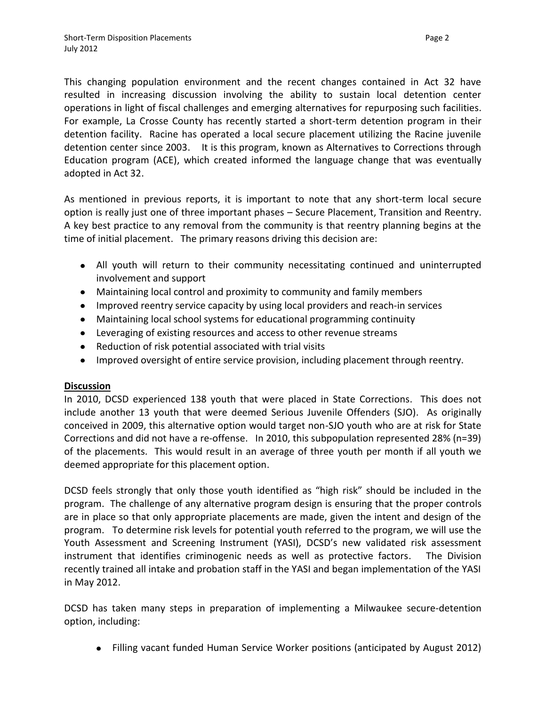This changing population environment and the recent changes contained in Act 32 have resulted in increasing discussion involving the ability to sustain local detention center operations in light of fiscal challenges and emerging alternatives for repurposing such facilities. For example, La Crosse County has recently started a short-term detention program in their detention facility. Racine has operated a local secure placement utilizing the Racine juvenile detention center since 2003. It is this program, known as Alternatives to Corrections through Education program (ACE), which created informed the language change that was eventually adopted in Act 32.

As mentioned in previous reports, it is important to note that any short-term local secure option is really just one of three important phases – Secure Placement, Transition and Reentry. A key best practice to any removal from the community is that reentry planning begins at the time of initial placement. The primary reasons driving this decision are:

- All youth will return to their community necessitating continued and uninterrupted involvement and support
- Maintaining local control and proximity to community and family members
- Improved reentry service capacity by using local providers and reach-in services
- Maintaining local school systems for educational programming continuity
- Leveraging of existing resources and access to other revenue streams
- Reduction of risk potential associated with trial visits
- Improved oversight of entire service provision, including placement through reentry.

# **Discussion**

In 2010, DCSD experienced 138 youth that were placed in State Corrections. This does not include another 13 youth that were deemed Serious Juvenile Offenders (SJO). As originally conceived in 2009, this alternative option would target non-SJO youth who are at risk for State Corrections and did not have a re-offense. In 2010, this subpopulation represented 28% (n=39) of the placements. This would result in an average of three youth per month if all youth we deemed appropriate for this placement option.

DCSD feels strongly that only those youth identified as "high risk" should be included in the program. The challenge of any alternative program design is ensuring that the proper controls are in place so that only appropriate placements are made, given the intent and design of the program. To determine risk levels for potential youth referred to the program, we will use the Youth Assessment and Screening Instrument (YASI), DCSD's new validated risk assessment instrument that identifies criminogenic needs as well as protective factors. The Division recently trained all intake and probation staff in the YASI and began implementation of the YASI in May 2012.

DCSD has taken many steps in preparation of implementing a Milwaukee secure-detention option, including:

Filling vacant funded Human Service Worker positions (anticipated by August 2012)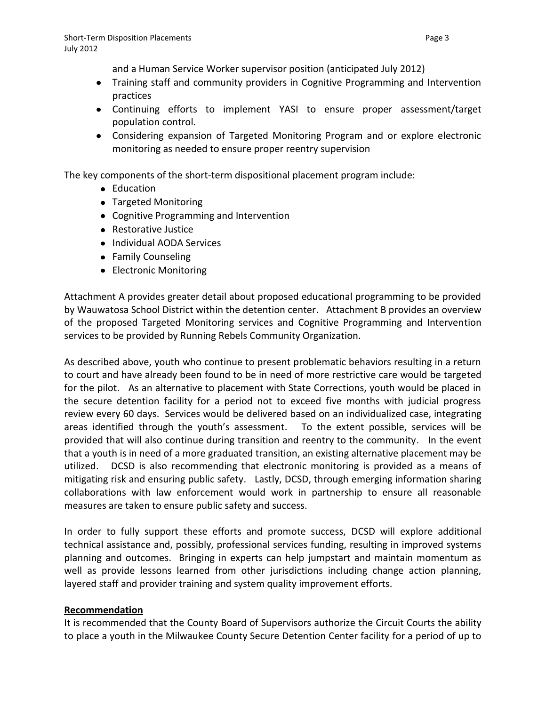and a Human Service Worker supervisor position (anticipated July 2012)

- Training staff and community providers in Cognitive Programming and Intervention practices
- Continuing efforts to implement YASI to ensure proper assessment/target population control.
- Considering expansion of Targeted Monitoring Program and or explore electronic monitoring as needed to ensure proper reentry supervision

The key components of the short-term dispositional placement program include:

- Education
- Targeted Monitoring
- Cognitive Programming and Intervention
- Restorative Justice
- Individual AODA Services
- Family Counseling
- Electronic Monitoring

Attachment A provides greater detail about proposed educational programming to be provided by Wauwatosa School District within the detention center. Attachment B provides an overview of the proposed Targeted Monitoring services and Cognitive Programming and Intervention services to be provided by Running Rebels Community Organization.

As described above, youth who continue to present problematic behaviors resulting in a return to court and have already been found to be in need of more restrictive care would be targeted for the pilot. As an alternative to placement with State Corrections, youth would be placed in the secure detention facility for a period not to exceed five months with judicial progress review every 60 days. Services would be delivered based on an individualized case, integrating areas identified through the youth's assessment. To the extent possible, services will be provided that will also continue during transition and reentry to the community. In the event that a youth is in need of a more graduated transition, an existing alternative placement may be utilized. DCSD is also recommending that electronic monitoring is provided as a means of mitigating risk and ensuring public safety. Lastly, DCSD, through emerging information sharing collaborations with law enforcement would work in partnership to ensure all reasonable measures are taken to ensure public safety and success.

In order to fully support these efforts and promote success, DCSD will explore additional technical assistance and, possibly, professional services funding, resulting in improved systems planning and outcomes. Bringing in experts can help jumpstart and maintain momentum as well as provide lessons learned from other jurisdictions including change action planning, layered staff and provider training and system quality improvement efforts.

# **Recommendation**

It is recommended that the County Board of Supervisors authorize the Circuit Courts the ability to place a youth in the Milwaukee County Secure Detention Center facility for a period of up to